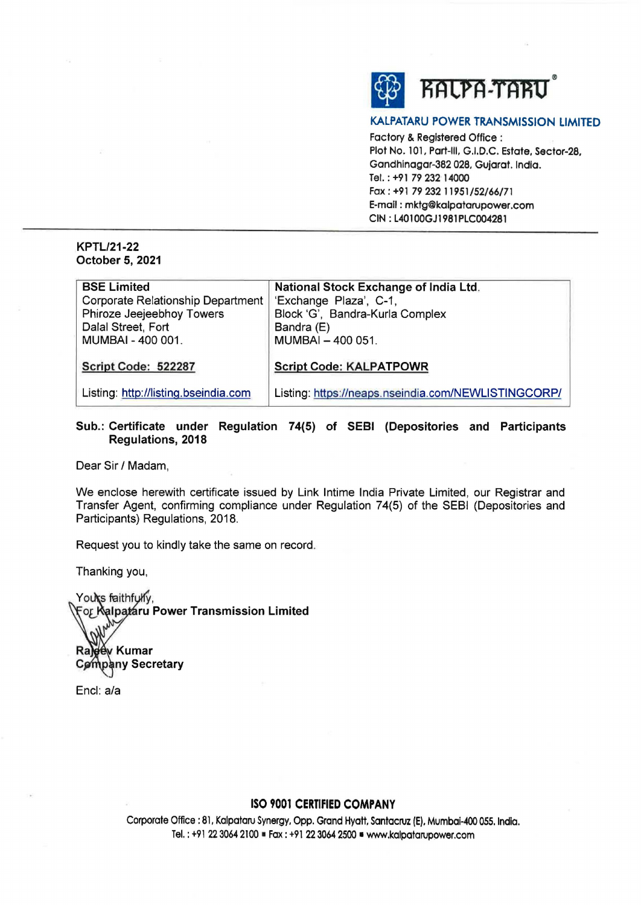

#### **KALPATARU POWER TRANSMISSION LIMITED**

Factory & Registered Office : Plot No. 101, Part-Ill, G.I.D.C. Estate, Sector-28, Gandhinagar-382 028, Gujarat. India. Tel. : +91 79 232 14000 Fax: +91 79 232 11951/52/66/71 E-mail: mktg@kalpatarupower.com **CIN: L40100GJ1981PLC004281** 

#### **KPTL/21-22 October 5, 2021**

| <b>BSE Limited</b>                   | National Stock Exchange of India Ltd.               |
|--------------------------------------|-----------------------------------------------------|
| Corporate Relationship Department    | 'Exchange Plaza', C-1,                              |
| Phiroze Jeejeebhoy Towers            | Block 'G', Bandra-Kurla Complex                     |
| Dalal Street, Fort                   | Bandra (E)                                          |
| MUMBAI - 400 001.                    | MUMBAI - 400 051.                                   |
| Script Code: 522287                  | <b>Script Code: KALPATPOWR</b>                      |
| Listing: http://listing.bseindia.com | Listing: https://neaps.nseindia.com/NEWLISTINGCORP/ |

### **Sub.: Certificate under Regulation 74(5) of SEBI (Depositories and Participants Regulations, 2018**

Dear Sir/ Madam,

We enclose herewith certificate issued by Link lntime India Private Limited, our Registrar and Transfer Agent, confirming compliance under Regulation 74(5) of the SEBI (Depositories and Participants) Regulations, 2018.

Request you to kindly take the same on record.

Thanking you,

Yours faithfully, **Por Ralpataru Power Transmission Limited** Rajgey Kumar Company Secretary

Encl: a/a

## **ISO 9001 CERTIFIED COMPANY**

Corporate Office: 81, Kalpataru Synergy, Opp. Grand Hyatt, Santacruz **IE),** Mumbai-400 *055.* lndla. Tel.: +91 22 3064 2100 ■ Fax: +91 22 3064 2500 ■ www.kalpatarupower.com